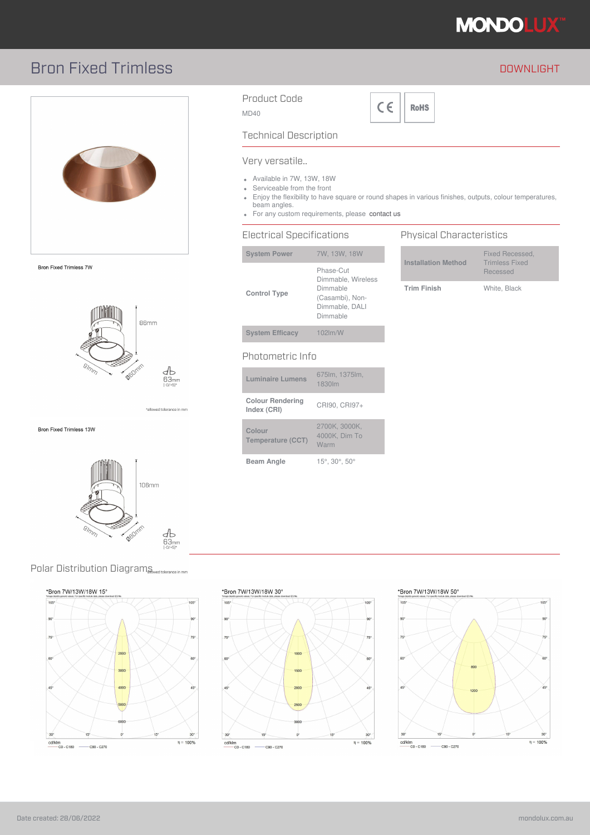

# Bron Fixed Trimless **DOWNLIGHT**



**Bron Fixed Trimless 7W** 



allowed tolerance in mm\*

Bron Fixed Trimless 13W



### Product Code

MD40



Technical Description

#### Very versatile..

- Available in 7W, 13W, 18W
- Serviceable from the front
- Enjoy the flexibility to have square or round shapes in various finishes, outputs, colour temperatures, beam angles.
- For any custom requirements, please contact us

## Electrical Specifications

| <b>System Power</b>                    | 7W, 13W, 18W                                                                                 |
|----------------------------------------|----------------------------------------------------------------------------------------------|
| <b>Control Type</b>                    | Phase-Cut<br>Dimmable, Wireless<br>Dimmable<br>(Casambi), Non-<br>Dimmable, DALI<br>Dimmable |
| <b>System Efficacy</b>                 | 102lm/W                                                                                      |
| Photometric Info                       |                                                                                              |
| <b>Luminaire Lumens</b>                | 675lm, 1375lm,<br>1830lm                                                                     |
| <b>Colour Rendering</b><br>Index (CRI) | CRI90, CRI97+                                                                                |
| Colour                                 | 2700K, 3000K,<br>$10001/$ Dim $T_{\odot}$                                                    |

4000K, Dim To Warm

#### **Installation Method** Fixed Recessed, Trimless Fixed Recessed

Physical Characteristics

**Trim Finish** White, Black

Polar Distribution Diagrams wedtolerance in mm





\*Bron 7W/13W/18W 30°

**Temperature (CCT)**

**Beam Angle** 15°, 30°, 50°



## \*Bron 7W/13W/18W 50°



#### Date created: 28/06/2022 mondolux.com.au